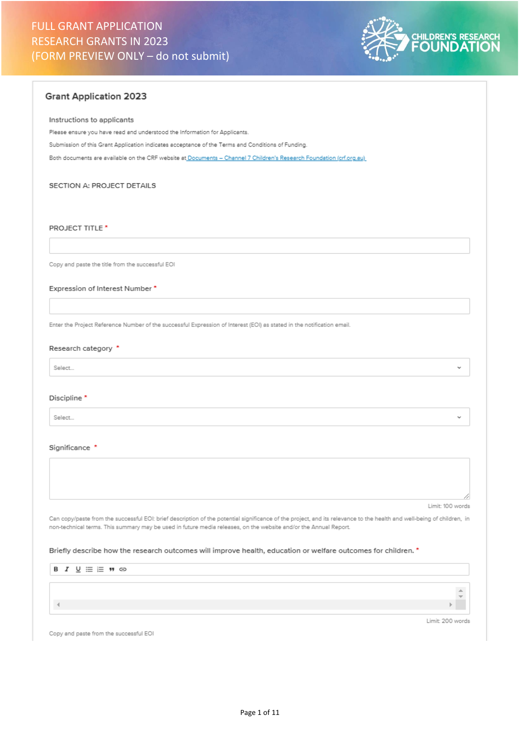

# **Grant Application 2023**

### Instructions to applicants

Please ensure you have read and understood the Information for Applicants.

Submission of this Grant Application indicates acceptance of the Terms and Conditions of Funding.

Both documents are available on the CRF website at Documents - Channel 7 Children's Research Foundation (crf.org.au)

### SECTION A: PROJECT DETAILS

### **PROJECT TITLE\***

Copy and paste the title from the successful EOI

Expression of Interest Number \*

Enter the Project Reference Number of the successful Expression of Interest (EOI) as stated in the notification email.

# Research category \*

Select...

### Discipline<sup>\*</sup>

Select.

#### Significance \*

Limit: 100 words

Can copy/paste from the successful EOI: brief description of the potential significance of the project, and its relevance to the health and well-being of children, in non-technical terms. This summary may be used in future media releases, on the website and/or the Annual Report.

### Briefly describe how the research outcomes will improve health, education or welfare outcomes for children. \*

| $B I U \equiv E H \oplus$ |                  |  |
|---------------------------|------------------|--|
|                           |                  |  |
|                           |                  |  |
|                           |                  |  |
|                           |                  |  |
|                           |                  |  |
|                           | Limit: 200 words |  |

Copy and paste from the successful EOI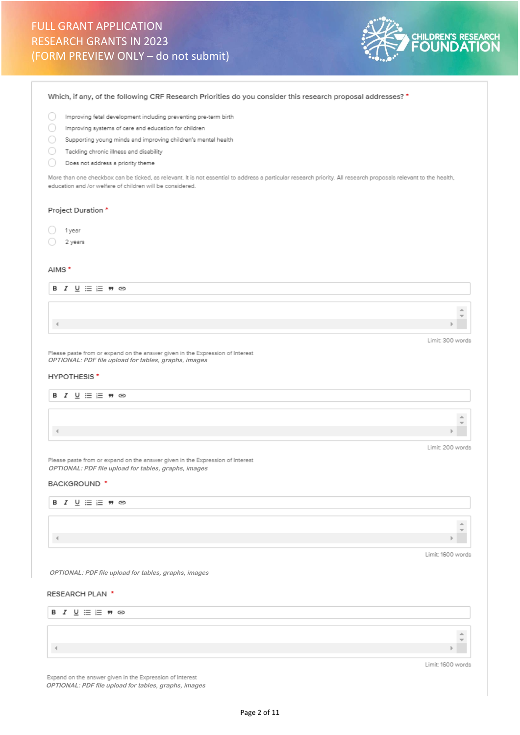

Which, if any, of the following CRF Research Priorities do you consider this research proposal addresses? \*

 $\bigcirc$  Improving fetal development including preventing pre-term birth

- mproving systems of care and education for children
- Supporting young minds and improving children's mental health
- $\bigcirc$  Tackling chronic illness and disability
- О. Does not address a priority theme

More than one checkbox can be ticked, as relevant. It is not essential to address a particular research priority. All research proposals relevant to the health, education and /or welfare of children will be considered.

#### Project Duration \*

- $\bigcirc$  1year O.
- 2 years

#### AIMS\*



Please paste from or expand on the answer given in the Expression of Interest **OPTIONAL: PDF file upload for tables, graphs, images** 

# **HYPOTHESIS**\*



Please paste from or expand on the answer given in the Expression of Interest **OPTIONAL: PDF file upload for tables, graphs, images**

# BACKGROUND<sup>\*</sup>

# **B**  $I \underline{\cup} \equiv \equiv \underline{\cdots}$  **W**  $\ominus$  $\Delta$  $\vert \cdot \vert$ Limit: 1600 words

**OPTIONAL: PDF file upload for tables, graphs, images**

#### RESEARCH PLAN \*



Expand on the answer given in the Expression of Interest **OPTIONAL: PDF file upload for tables, graphs, images**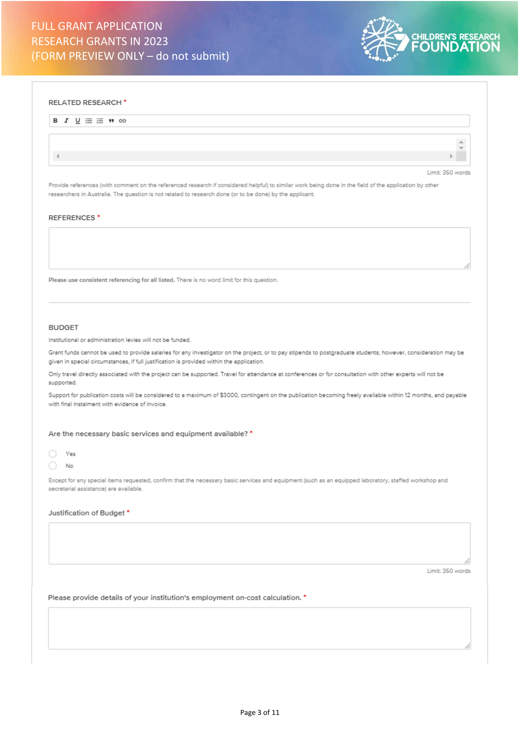

#### **RELATED RESEARCH**\*

| $B I \underline{U} \equiv E H \oplus$ |                  |
|---------------------------------------|------------------|
|                                       |                  |
|                                       |                  |
|                                       | Limit: 350 words |

Provide references (with comment on the referenced research if considered helpful) to similar work being done in the field of the application by other researchers in Australia. The question is not related to research done (or to be done) by the applicant.

#### REFERENCES<sup>\*</sup>

Please use consistent referencing for all listed. There is no word limit for this question.

### **BUDGET**

Institutional or administration levies will not be funded.

Grant funds cannot be used to provide salaries for any investigator on the project, or to pay stipends to postgraduate students; however, consideration may be given in special circumstances, if full justification is provided within the application.

Only travel directly associated with the project can be supported. Travel for attendance at conferences or for consultation with other experts will not be supported.

Support for publication costs will be considered to a maximum of \$3000, contingent on the publication becoming freely available within 12 months, and payable with final instalment with evidence of invoice.

### Are the necessary basic services and equipment available? \*



Except for any special items requested, confirm that the necessary basic services and equipment (such as an equipped laboratory, staffed workshop and secretarial assistance) are available.

### Justification of Budget \*

Limit: 350 words

Please provide details of your institution's employment on-cost calculation. \*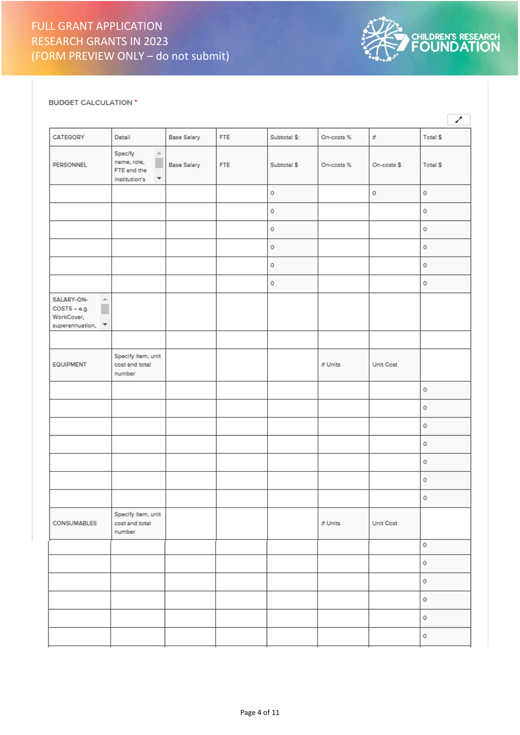

# BUDGET CALCULATION \*

|                                                                                                     |                                                                                                     |                    |     |              |            |             | v         |
|-----------------------------------------------------------------------------------------------------|-----------------------------------------------------------------------------------------------------|--------------------|-----|--------------|------------|-------------|-----------|
| CATEGORY                                                                                            | Detail                                                                                              | Base Salary        | FTE | Subtotal \$: | On-costs % | $\tilde{x}$ | Total \$  |
| PERSONNEL                                                                                           | Specify<br>$\Delta$<br>п<br>name, role,<br>FTE and the<br>institution's<br>$\overline{\phantom{a}}$ | <b>Base Salary</b> | FTE | Subtotal \$  | On-costs % | On-costs \$ | Total \$  |
|                                                                                                     |                                                                                                     |                    |     | $\rm _O$     |            | $\circ$     | $\rm _O$  |
|                                                                                                     |                                                                                                     |                    |     | $\circ$      |            |             | $\,0\,$   |
|                                                                                                     |                                                                                                     |                    |     | 0            |            |             | $\,0\,$   |
|                                                                                                     |                                                                                                     |                    |     | 0            |            |             | $\circ$   |
|                                                                                                     |                                                                                                     |                    |     | $\circ$      |            |             | $\rm _O$  |
|                                                                                                     |                                                                                                     |                    |     | $\circ$      |            |             | $\,$ $\,$ |
| SALARY-ON-<br>$\Delta$<br>п<br>$COSTS - e.g.$<br>WorkCover,<br>superannuation, $\blacktriangledown$ |                                                                                                     |                    |     |              |            |             |           |
|                                                                                                     |                                                                                                     |                    |     |              |            |             |           |
| EQUIPMENT                                                                                           | Specify item, unit<br>cost and total<br>number                                                      |                    |     |              | # Units    | Unit Cost   |           |
|                                                                                                     |                                                                                                     |                    |     |              |            |             | $\circ$   |
|                                                                                                     |                                                                                                     |                    |     |              |            |             | $\,$ $\,$ |
|                                                                                                     |                                                                                                     |                    |     |              |            |             | $\,$ 0    |
|                                                                                                     |                                                                                                     |                    |     |              |            |             | $\,0\,$   |
|                                                                                                     |                                                                                                     |                    |     |              |            |             | $\circ$   |
|                                                                                                     |                                                                                                     |                    |     |              |            |             | $\,$ $\,$ |
|                                                                                                     |                                                                                                     |                    |     |              |            |             | $\rm _O$  |
| CONSUMABLES                                                                                         | Specify item, unit<br>cost and total<br>number                                                      |                    |     |              | # Units    | Unit Cost   |           |
|                                                                                                     |                                                                                                     |                    |     |              |            |             | 0         |
|                                                                                                     |                                                                                                     |                    |     |              |            |             | $\circ$   |
|                                                                                                     |                                                                                                     |                    |     |              |            |             | $\circ$   |
|                                                                                                     |                                                                                                     |                    |     |              |            |             | $\,$ $\,$ |
|                                                                                                     |                                                                                                     |                    |     |              |            |             | $\,$ $\,$ |
|                                                                                                     |                                                                                                     |                    |     |              |            |             | 0         |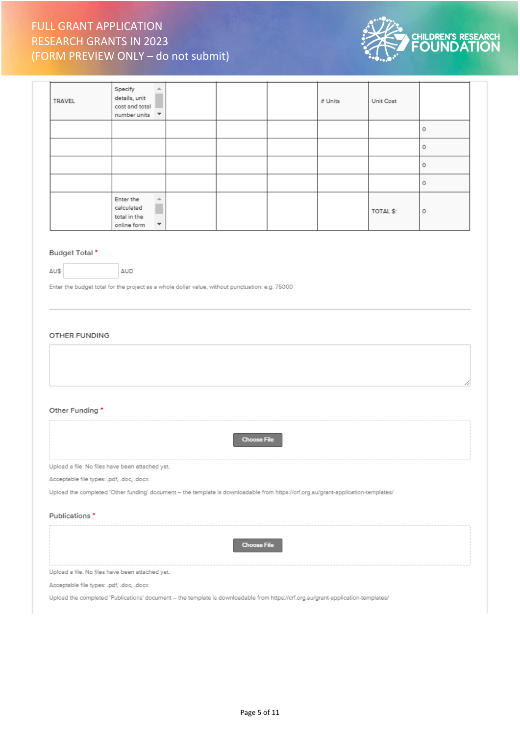

| TRAVEL | Specify<br>$\Delta$<br>details, unit<br>cost and total<br>number units<br>$\overline{\phantom{a}}$ |  | # Units | Unit Cost |         |
|--------|----------------------------------------------------------------------------------------------------|--|---------|-----------|---------|
|        |                                                                                                    |  |         |           | $\circ$ |
|        |                                                                                                    |  |         |           | $\circ$ |
|        |                                                                                                    |  |         |           | $\circ$ |
|        |                                                                                                    |  |         |           | $\circ$ |
|        | Enter the<br>业<br>calculated<br>total in the<br>$\overline{\phantom{a}}$<br>online form            |  |         | TOTAL \$: | $\circ$ |

# Budget Total\*

 $\texttt{AU\$}$ 

Enter the budget total for the project as a whole dollar value, without punctuation: e.g. 75000

AUD

## OTHER FUNDING

| 4                                                                                                                                 |  |
|-----------------------------------------------------------------------------------------------------------------------------------|--|
|                                                                                                                                   |  |
| Other Funding *                                                                                                                   |  |
| Choose File                                                                                                                       |  |
| Upload a file. No files have been attached yet.                                                                                   |  |
| Acceptable file types: .pdf, .doc, .docx                                                                                          |  |
| Upload the completed 'Other funding' document - the template is downloadable from https://crf.org.au/grant-application-templates/ |  |
| Publications *                                                                                                                    |  |
| <b>Choose File</b>                                                                                                                |  |
| Upload a file. No files have been attached yet.                                                                                   |  |
| Acceptable file types: .pdf, .doc, .docx                                                                                          |  |

Upload the completed 'Publications' document - the template is downloadable from https://crf.org.au/grant-application-templates/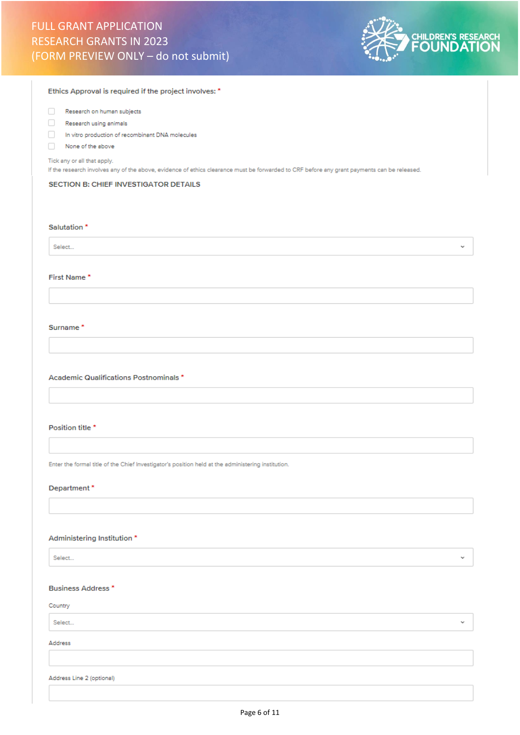

| Ethics Approval is required if the project involves: *                                                                                                                     |
|----------------------------------------------------------------------------------------------------------------------------------------------------------------------------|
| Research on human subjects<br>o                                                                                                                                            |
| u<br>Research using animals                                                                                                                                                |
| In vitro production of recombinant DNA molecules<br>H                                                                                                                      |
| None of the above<br>n                                                                                                                                                     |
| Tick any or all that apply.<br>If the research involves any of the above, evidence of ethics clearance must be forwarded to CRF before any grant payments can be released. |
| SECTION B: CHIEF INVESTIGATOR DETAILS                                                                                                                                      |
|                                                                                                                                                                            |
|                                                                                                                                                                            |
| Salutation <sup>*</sup>                                                                                                                                                    |
| Select<br>v                                                                                                                                                                |
|                                                                                                                                                                            |
| First Name*                                                                                                                                                                |
|                                                                                                                                                                            |
|                                                                                                                                                                            |
| Surname*                                                                                                                                                                   |
|                                                                                                                                                                            |
|                                                                                                                                                                            |
|                                                                                                                                                                            |
| Academic Qualifications Postnominals *                                                                                                                                     |
|                                                                                                                                                                            |
|                                                                                                                                                                            |
|                                                                                                                                                                            |
| Position title *                                                                                                                                                           |
|                                                                                                                                                                            |
|                                                                                                                                                                            |
| Enter the formal title of the Chief Investigator's position held at the administering institution.                                                                         |
| Department*                                                                                                                                                                |
|                                                                                                                                                                            |
|                                                                                                                                                                            |
|                                                                                                                                                                            |
| Administering Institution *                                                                                                                                                |
| v                                                                                                                                                                          |
| Select                                                                                                                                                                     |
|                                                                                                                                                                            |
| <b>Business Address *</b>                                                                                                                                                  |
| Country                                                                                                                                                                    |
| Select<br>v                                                                                                                                                                |
| Address                                                                                                                                                                    |
|                                                                                                                                                                            |
|                                                                                                                                                                            |
| Address Line 2 (optional)                                                                                                                                                  |
|                                                                                                                                                                            |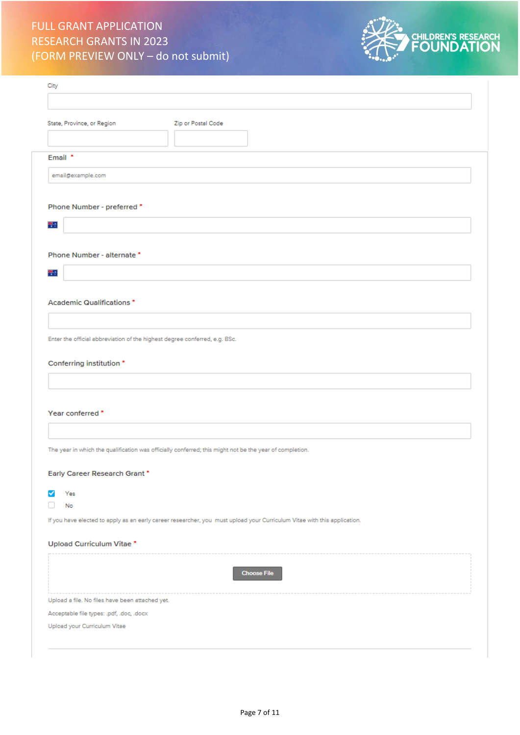

| Zip or Postal Code<br>Email *<br>email@example.com<br>Phone Number - preferred *<br>带。<br>Phone Number - alternate *<br>带口<br>Academic Qualifications*<br>Enter the official abbreviation of the highest degree conferred, e.g. BSc.<br>Conferring institution *<br>Year conferred *<br>The year in which the qualification was officially conferred; this might not be the year of completion.<br>Early Career Research Grant*<br>Yes<br>No<br>If you have elected to apply as an early career researcher, you must upload your Curriculum Vitae with this application.<br>Upload Curriculum Vitae *<br><b>Choose File</b><br>Upload a file. No files have been attached yet.<br>Acceptable file types: .pdf, .doc, .docx<br>Upload your Curriculum Vitae | City                       |  |
|------------------------------------------------------------------------------------------------------------------------------------------------------------------------------------------------------------------------------------------------------------------------------------------------------------------------------------------------------------------------------------------------------------------------------------------------------------------------------------------------------------------------------------------------------------------------------------------------------------------------------------------------------------------------------------------------------------------------------------------------------------|----------------------------|--|
|                                                                                                                                                                                                                                                                                                                                                                                                                                                                                                                                                                                                                                                                                                                                                            |                            |  |
|                                                                                                                                                                                                                                                                                                                                                                                                                                                                                                                                                                                                                                                                                                                                                            | State, Province, or Region |  |
|                                                                                                                                                                                                                                                                                                                                                                                                                                                                                                                                                                                                                                                                                                                                                            |                            |  |
|                                                                                                                                                                                                                                                                                                                                                                                                                                                                                                                                                                                                                                                                                                                                                            |                            |  |
|                                                                                                                                                                                                                                                                                                                                                                                                                                                                                                                                                                                                                                                                                                                                                            |                            |  |
|                                                                                                                                                                                                                                                                                                                                                                                                                                                                                                                                                                                                                                                                                                                                                            |                            |  |
|                                                                                                                                                                                                                                                                                                                                                                                                                                                                                                                                                                                                                                                                                                                                                            |                            |  |
|                                                                                                                                                                                                                                                                                                                                                                                                                                                                                                                                                                                                                                                                                                                                                            |                            |  |
|                                                                                                                                                                                                                                                                                                                                                                                                                                                                                                                                                                                                                                                                                                                                                            |                            |  |
|                                                                                                                                                                                                                                                                                                                                                                                                                                                                                                                                                                                                                                                                                                                                                            |                            |  |
|                                                                                                                                                                                                                                                                                                                                                                                                                                                                                                                                                                                                                                                                                                                                                            |                            |  |
|                                                                                                                                                                                                                                                                                                                                                                                                                                                                                                                                                                                                                                                                                                                                                            |                            |  |
|                                                                                                                                                                                                                                                                                                                                                                                                                                                                                                                                                                                                                                                                                                                                                            |                            |  |
|                                                                                                                                                                                                                                                                                                                                                                                                                                                                                                                                                                                                                                                                                                                                                            |                            |  |
|                                                                                                                                                                                                                                                                                                                                                                                                                                                                                                                                                                                                                                                                                                                                                            |                            |  |
|                                                                                                                                                                                                                                                                                                                                                                                                                                                                                                                                                                                                                                                                                                                                                            |                            |  |
|                                                                                                                                                                                                                                                                                                                                                                                                                                                                                                                                                                                                                                                                                                                                                            |                            |  |
|                                                                                                                                                                                                                                                                                                                                                                                                                                                                                                                                                                                                                                                                                                                                                            |                            |  |
|                                                                                                                                                                                                                                                                                                                                                                                                                                                                                                                                                                                                                                                                                                                                                            |                            |  |
|                                                                                                                                                                                                                                                                                                                                                                                                                                                                                                                                                                                                                                                                                                                                                            |                            |  |
|                                                                                                                                                                                                                                                                                                                                                                                                                                                                                                                                                                                                                                                                                                                                                            |                            |  |
|                                                                                                                                                                                                                                                                                                                                                                                                                                                                                                                                                                                                                                                                                                                                                            |                            |  |
|                                                                                                                                                                                                                                                                                                                                                                                                                                                                                                                                                                                                                                                                                                                                                            |                            |  |
|                                                                                                                                                                                                                                                                                                                                                                                                                                                                                                                                                                                                                                                                                                                                                            |                            |  |
|                                                                                                                                                                                                                                                                                                                                                                                                                                                                                                                                                                                                                                                                                                                                                            |                            |  |
|                                                                                                                                                                                                                                                                                                                                                                                                                                                                                                                                                                                                                                                                                                                                                            |                            |  |
|                                                                                                                                                                                                                                                                                                                                                                                                                                                                                                                                                                                                                                                                                                                                                            |                            |  |
|                                                                                                                                                                                                                                                                                                                                                                                                                                                                                                                                                                                                                                                                                                                                                            |                            |  |
|                                                                                                                                                                                                                                                                                                                                                                                                                                                                                                                                                                                                                                                                                                                                                            |                            |  |
|                                                                                                                                                                                                                                                                                                                                                                                                                                                                                                                                                                                                                                                                                                                                                            |                            |  |
|                                                                                                                                                                                                                                                                                                                                                                                                                                                                                                                                                                                                                                                                                                                                                            |                            |  |
|                                                                                                                                                                                                                                                                                                                                                                                                                                                                                                                                                                                                                                                                                                                                                            |                            |  |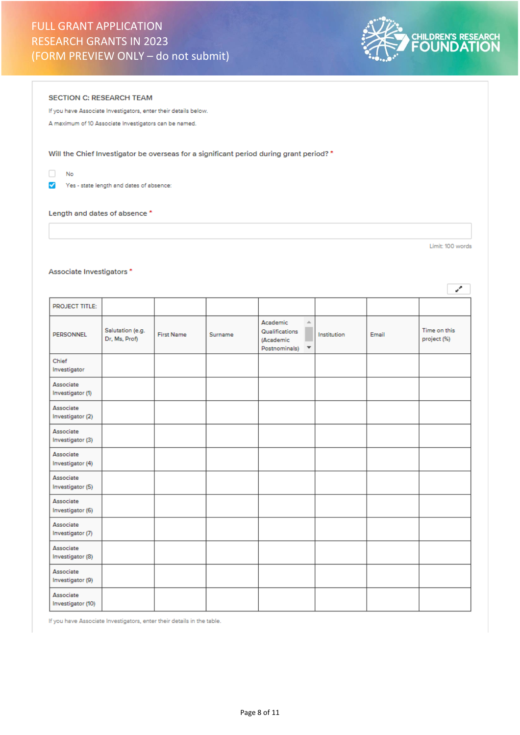

### SECTION C: RESEARCH TEAM

If you have Associate Investigators, enter their details below.

A maximum of 10 Associate Investigators can be named.

Will the Chief Investigator be overseas for a significant period during grant period? \*

 $\Box$ No

Yes - state length and dates of absence:

#### Length and dates of absence \*

Limit: 100 words

# Associate Investigators \*

|                                |                                   |                   |         |                                                                                                  |             |       | ∕                           |
|--------------------------------|-----------------------------------|-------------------|---------|--------------------------------------------------------------------------------------------------|-------------|-------|-----------------------------|
| <b>PROJECT TITLE:</b>          |                                   |                   |         |                                                                                                  |             |       |                             |
| PERSONNEL                      | Salutation (e.g.<br>Dr, Ms, Prof) | <b>First Name</b> | Surname | Academic<br>$\Delta$<br>Qualifications<br>(Academic<br>Postnominals)<br>$\overline{\phantom{a}}$ | Institution | Email | Time on this<br>project (%) |
| Chief<br>Investigator          |                                   |                   |         |                                                                                                  |             |       |                             |
| Associate<br>Investigator (1)  |                                   |                   |         |                                                                                                  |             |       |                             |
| Associate<br>Investigator (2)  |                                   |                   |         |                                                                                                  |             |       |                             |
| Associate<br>Investigator (3)  |                                   |                   |         |                                                                                                  |             |       |                             |
| Associate<br>Investigator (4)  |                                   |                   |         |                                                                                                  |             |       |                             |
| Associate<br>Investigator (5)  |                                   |                   |         |                                                                                                  |             |       |                             |
| Associate<br>Investigator (6)  |                                   |                   |         |                                                                                                  |             |       |                             |
| Associate<br>Investigator (7)  |                                   |                   |         |                                                                                                  |             |       |                             |
| Associate<br>Investigator (8)  |                                   |                   |         |                                                                                                  |             |       |                             |
| Associate<br>Investigator (9)  |                                   |                   |         |                                                                                                  |             |       |                             |
| Associate<br>Investigator (10) |                                   |                   |         |                                                                                                  |             |       |                             |

If you have Associate Investigators, enter their details in the table.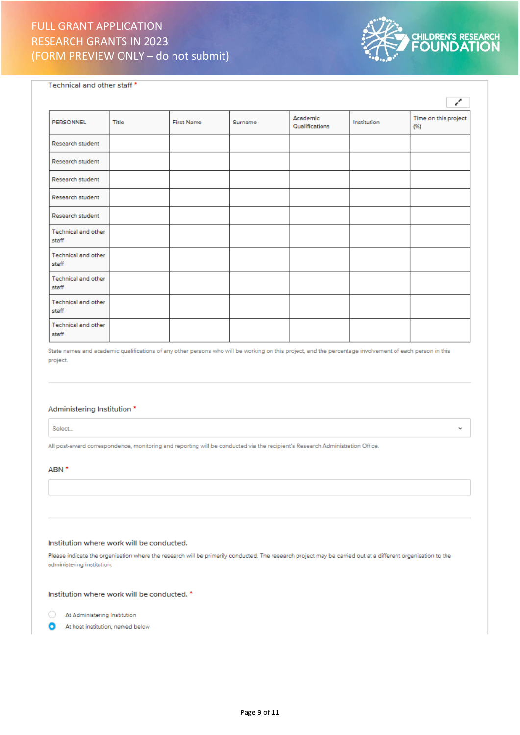

Technical and other staff\*

|                                     |       |                   |         |                            |             | ë.                           |
|-------------------------------------|-------|-------------------|---------|----------------------------|-------------|------------------------------|
| <b>PERSONNEL</b>                    | Title | <b>First Name</b> | Surname | Academic<br>Qualifications | Institution | Time on this project<br>(96) |
| Research student                    |       |                   |         |                            |             |                              |
| Research student                    |       |                   |         |                            |             |                              |
| Research student                    |       |                   |         |                            |             |                              |
| Research student                    |       |                   |         |                            |             |                              |
| Research student                    |       |                   |         |                            |             |                              |
| Technical and other<br>staff        |       |                   |         |                            |             |                              |
| <b>Technical and other</b><br>staff |       |                   |         |                            |             |                              |
| <b>Technical and other</b><br>staff |       |                   |         |                            |             |                              |
| <b>Technical and other</b><br>staff |       |                   |         |                            |             |                              |
| Technical and other<br>staff        |       |                   |         |                            |             |                              |

State names and academic qualifications of any other persons who will be working on this project, and the percentage involvement of each person in this project.

# Administering Institution \*

Select...

All post-award correspondence, monitoring and reporting will be conducted via the recipient's Research Administration Office.

#### ABN<sup>\*</sup>

## Institution where work will be conducted.

Please indicate the organisation where the research will be primarily conducted. The research project may be carried out at a different organisation to the administering institution.

Institution where work will be conducted. \*



n At host institution, named below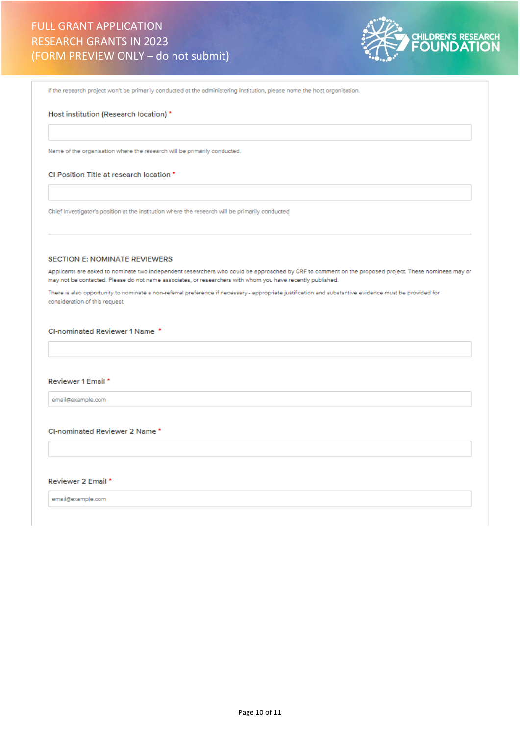

If the research project won't be primarily conducted at the administering institution, please name the host organisation.

### Host institution (Research location) \*

Name of the organisation where the research will be primarily conducted.

### CI Position Title at research location \*

Chief Investigator's position at the institution where the research will be primarily conducted

#### **SECTION E: NOMINATE REVIEWERS**

Applicants are asked to nominate two independent researchers who could be approached by CRF to comment on the proposed project. These nominees may or may not be contacted. Please do not name associates, or researchers with whom you have recently published.

There is also opportunity to nominate a non-referral preference if necessary - appropriate justification and substantive evidence must be provided for consideration of this request.

# CI-nominated Reviewer 1 Name \*

### Reviewer 1 Email \*

email@example.com

## CI-nominated Reviewer 2 Name\*

Reviewer 2 Email \*

email@example.com